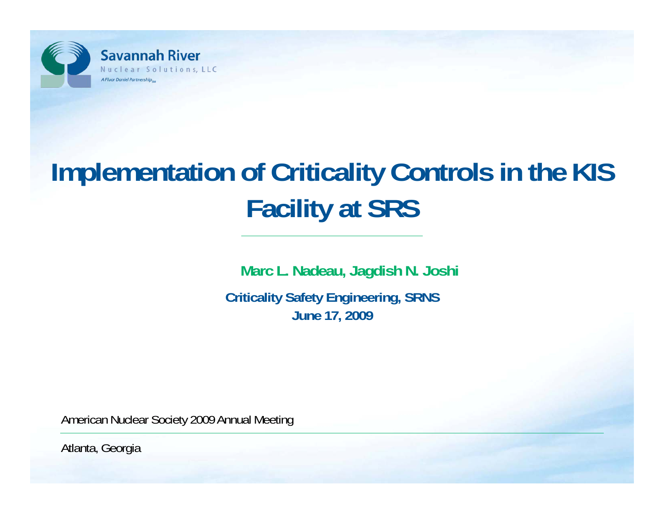

# **Implementation of Criticality Controls in the KIS Facility at SRS**

**Marc L. Nadeau, Jagdish N. Joshi** 

**Criticality Safety Engineering, SRNS June 17, 2009**

American Nuclear Society 2009 Annual Meeting

Atlanta, Georgia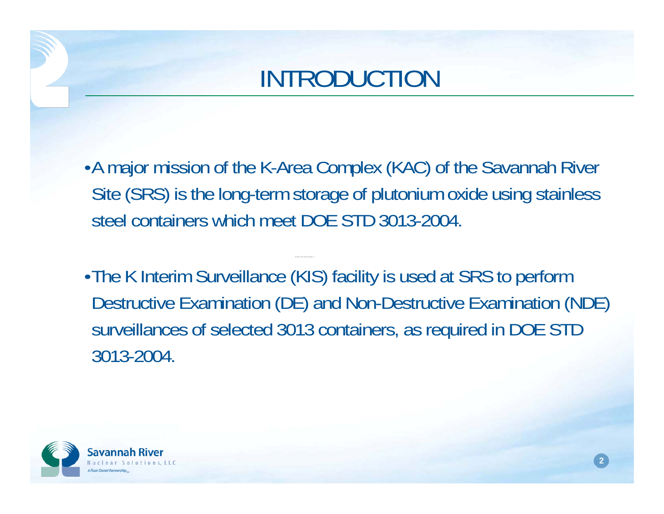

- •A major mission of the K-Area Complex (KAC) of the Savannah River Site (SRS) is the long-term storage of plutonium oxide using stainless steel containers which meet DOE STD 3013-2004.
- •The K Interim Surveillance (KIS) facility is used at SRS to perform Destructive Examination (DE) and Non-Destructive Examination (NDE) surveillances of selected 3013 containers, as required in DOE STD 3013-2004.

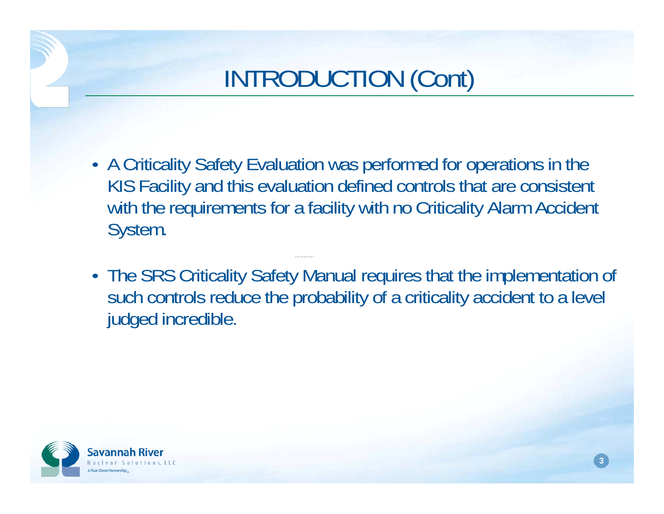- A Criticality Safety Evaluation was performed for operations in the KIS Facility and this evaluation defined controls that are consistent with the requirements for a facility with no Criticality Alarm Accident System.
- The SRS Criticality Safety Manual requires that the implementation of such controls reduce the probability of a criticality accident to a level judged incredible.

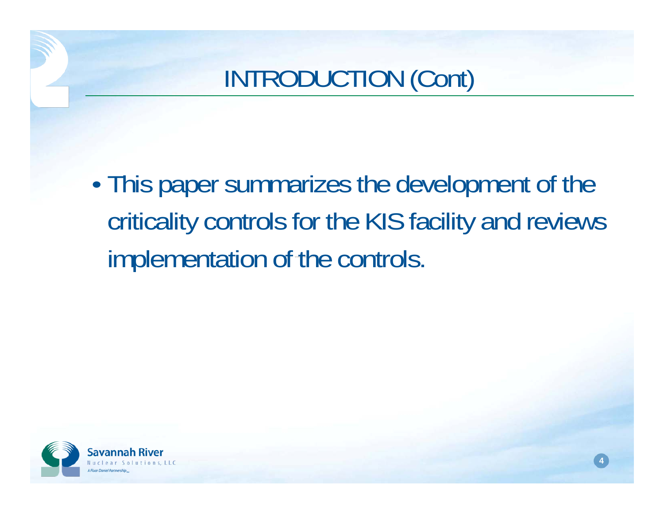WSRC S-200 DOMS S • This paper summarizes the development of the criticality controls for the KIS facility and reviews implementation of the controls.

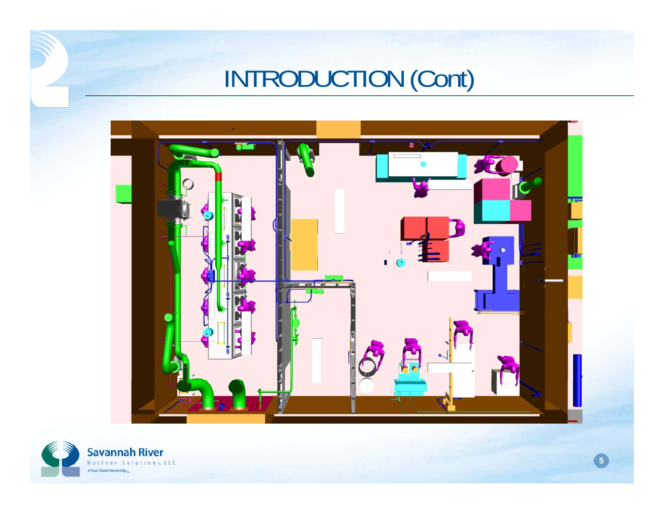

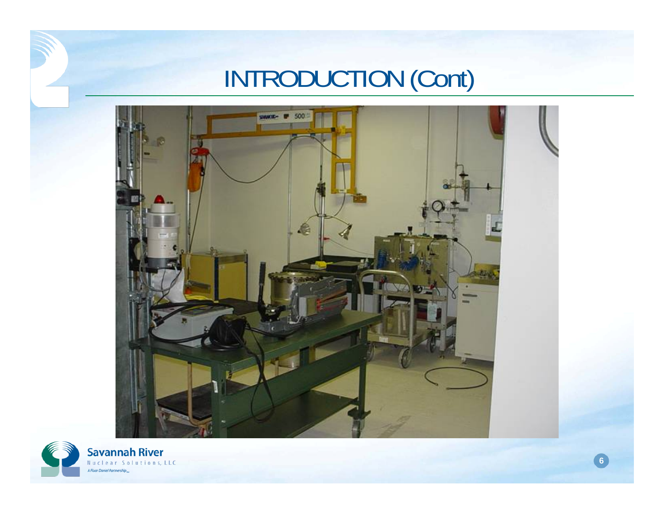

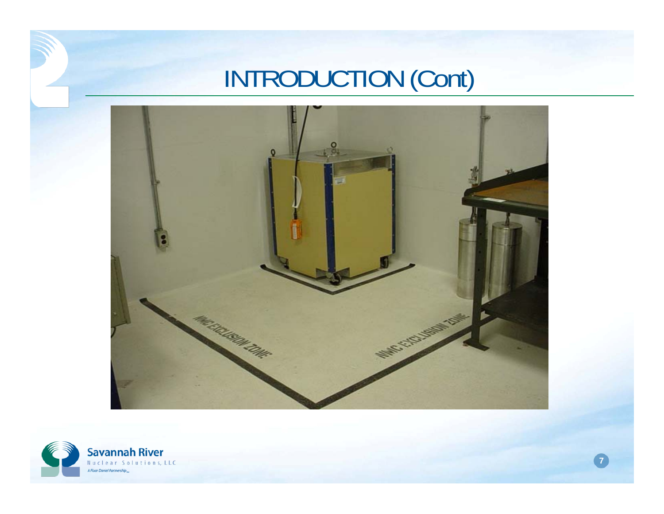

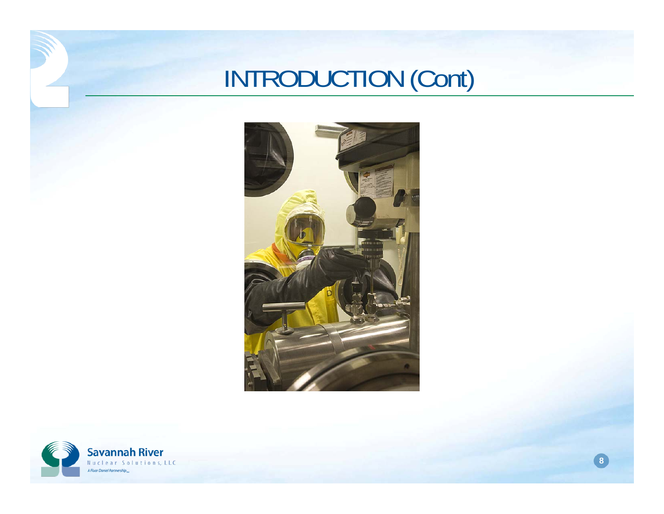

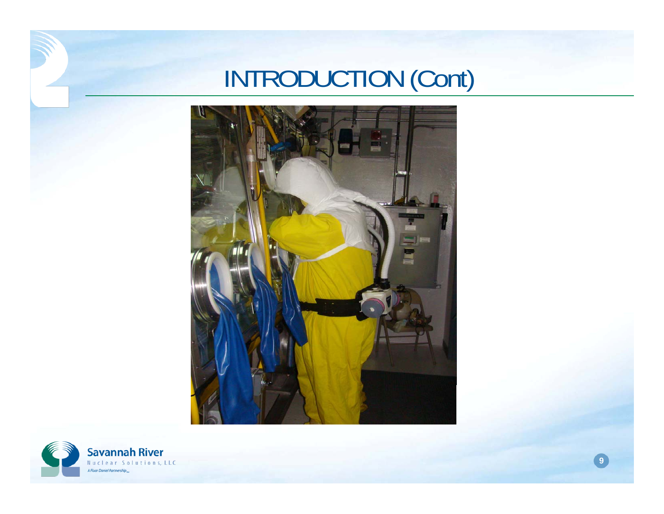

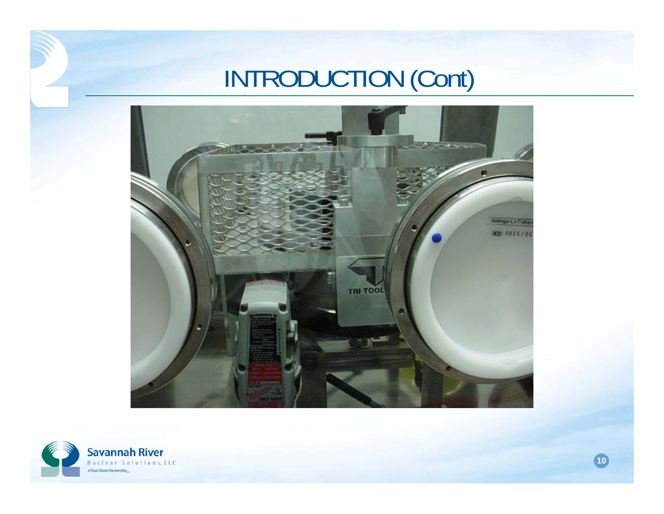

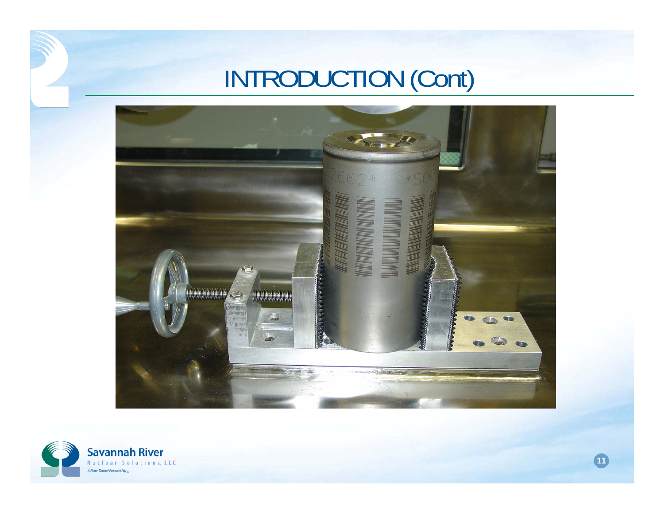

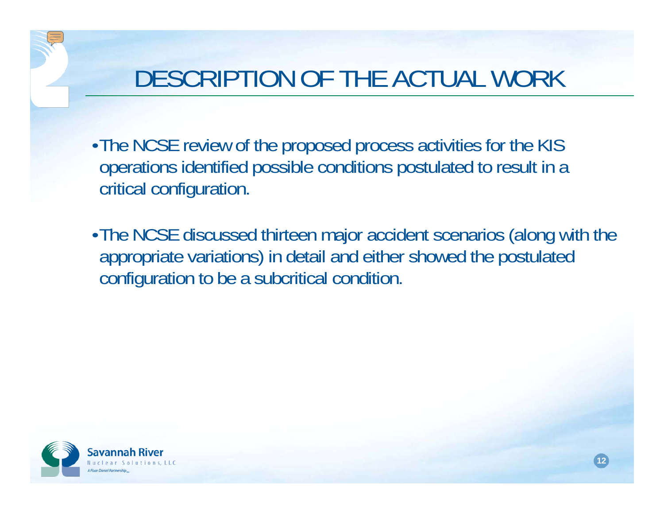#### DESCRIPTION OF THE ACTUAL WORK

- •The NCSE review of the proposed process activities for the KIS operations identified possible conditions postulated to result in a critical configuration.
- $-17$ •The NCSE discussed thirteen major accident scenarios (along with the appropriate variations) in detail and either showed the postulated configuration to be a subcritical condition.

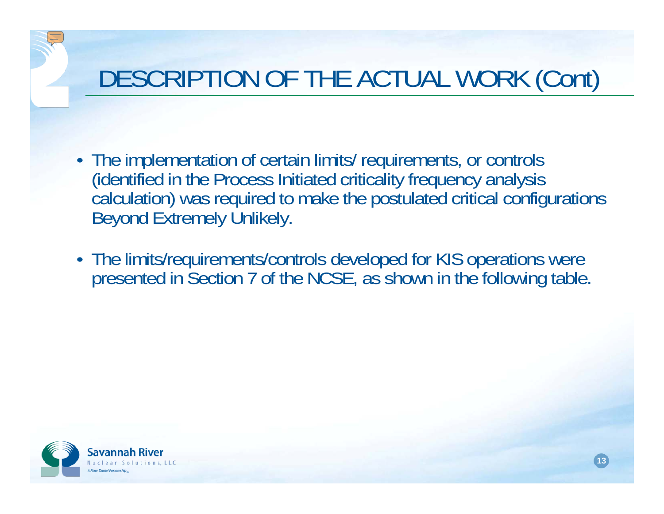- The implementation of certain limits/ requirements, or controls (identified in the Process Initiated criticality frequency analysis calculation) was required to make the postulated critical configurations Beyond Extremely Unlikely.
- The limits/requirements/controls developed for KIS operations were presented in Section 7 of the NCSE, as shown in the following table.

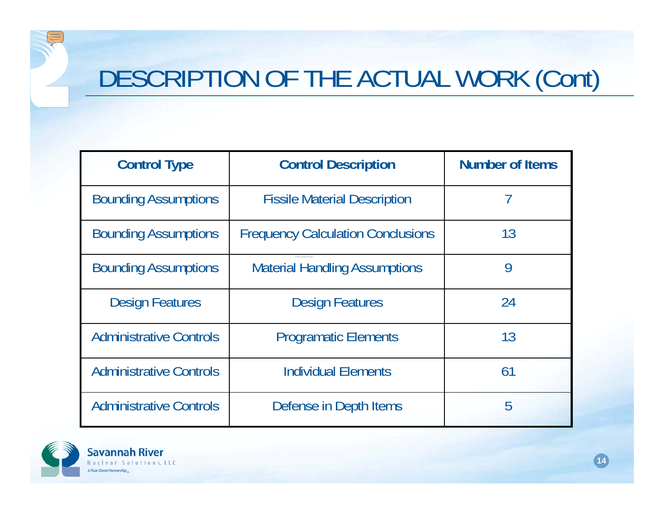| <b>Control Type</b>            | <b>Control Description</b>               | <b>Number of Items</b> |  |
|--------------------------------|------------------------------------------|------------------------|--|
| <b>Bounding Assumptions</b>    | <b>Fissile Material Description</b>      |                        |  |
| <b>Bounding Assumptions</b>    | <b>Frequency Calculation Conclusions</b> | 13                     |  |
| <b>Bounding Assumptions</b>    | <b>Material Handling Assumptions</b>     | 9                      |  |
| <b>Design Features</b>         | <b>Design Features</b>                   | 24                     |  |
| <b>Administrative Controls</b> | <b>Programatic Elements</b>              | 13                     |  |
| <b>Administrative Controls</b> | <b>Individual Elements</b>               | 61                     |  |
| <b>Administrative Controls</b> | Defense in Depth Items                   | 5                      |  |

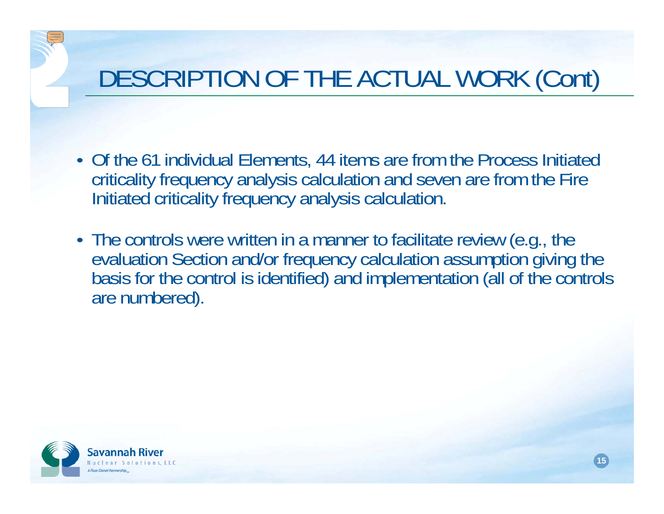- Of the 61 individual Elements, 44 items are from the Process Initiated criticality frequency analysis calculation and seven are from the Fire Initiated criticality frequency analysis calculation.
- WSRC-MS-2004 • The controls were written in a manner to facilitate review (e.g., the • The controls were written in a manner to facilitate review (e.g., the evaluation Section and/or frequency calculation assumption giving the basis for the control is identified) and implementation (all of the controls are

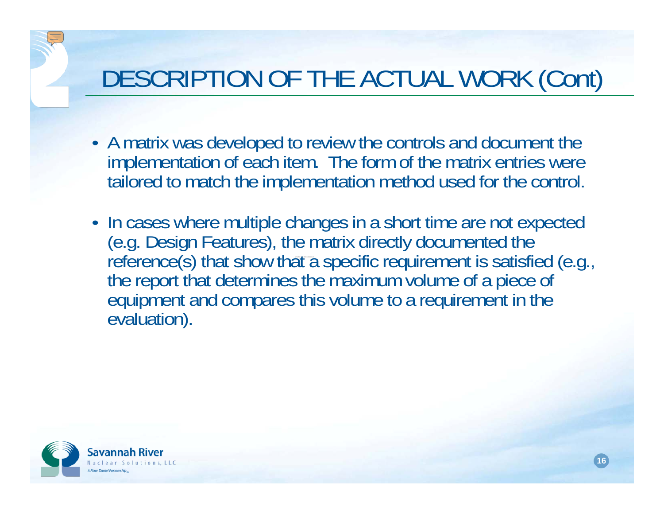- A matrix was developed to review the controls and document the implementation of each item. The form of the matrix entries were tailored to match the implementation method used for the control.
- $\blacksquare$ • In cases where multiple changes in a short time are not expected In cases where multiple changes in a short time are not expected (e.g. Design Features), the matrix directly documented the reference(s) that show that a specific requirement is satisfied (e.g., the report that determines the maximum volume of a piece of equipment and compares this volume to a requirement in the evaluation).

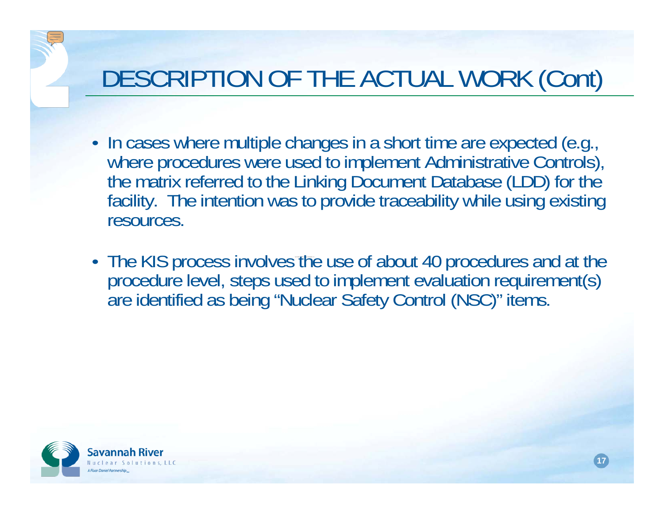- In cases where multiple changes in a short time are expected (e.g., In eases in a short time are expected to implement Administrative Controls), the matrix referred to the Linking Document Database (LDD) for the facility. The intention was to provide traceability while using existing resources.
- THA KIN NINGASS INVOLVAS TH procedure level, steps used to implement evaluation requirement(s) are identified as being "Nuclear Safety Control (NSC)" items.

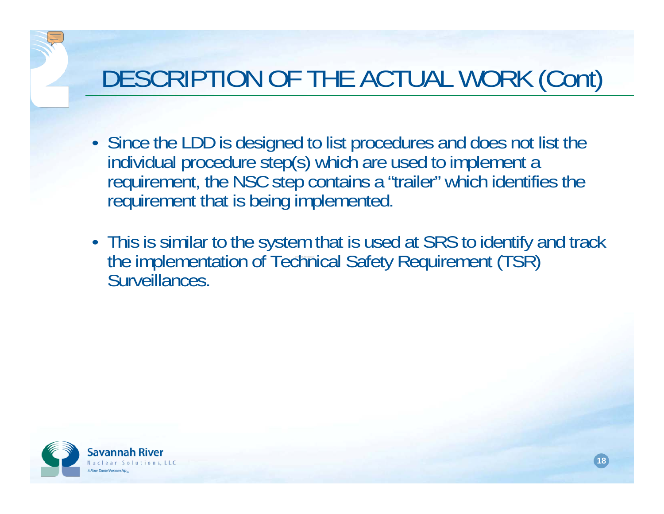- Since the LDD is designed to list procedures and does not list the individual procedure step(s) which are used to implement a requirement, the NSC step contains a "trailer" which identifies the requirement that is being implemented.
- WSRC-MS-2003-00465 ST • This is similar to the system that is used at SRS to identify and track This is similar to the system that is used at SRS to identify and track the implementation of Technical Safety Requirement (TSR) Surveillances.

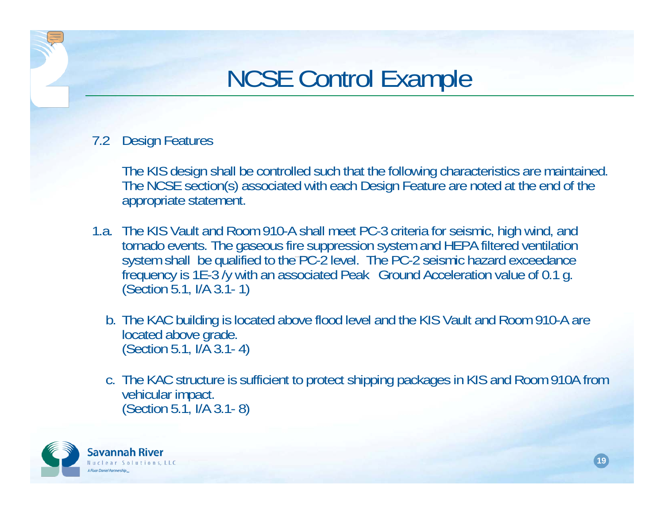#### NCSE Control Example

#### 7.2 Design Features

The KIS design shall be controlled such that the following characteristics are maintained. The NCSE section(s) associated with each Design Feature are noted at the end of the appropriate statement.

- tornado events. The gaseous fire suppression system and HEPA filtered ventilation<br>system shall, he qualified to the BC 3 level. The BC 3 seismic hezerd exceedance. 1.a. The KIS Vault and Room 910-A shall meet PC-3 criteria for seismic, high wind, and system shall be qualified to the PC-2 level. The PC-2 seismic hazard exceedance<br>frequency is 1E-3 /y with an associated Peak Ground Acceleration value of 0.1 g.<br>(Section 5.1, I/A 3.1- 1)
	- b. The KAC building is located above flood level and the KIS Vault and Room 910-A are  $(Section 5.1, I/A 3.1-4)$
	- c. The KAC structure is sufficient to protect shipping packages in KIS and Room 910A from  $(Section 5.1, I/A 3.1-8)$

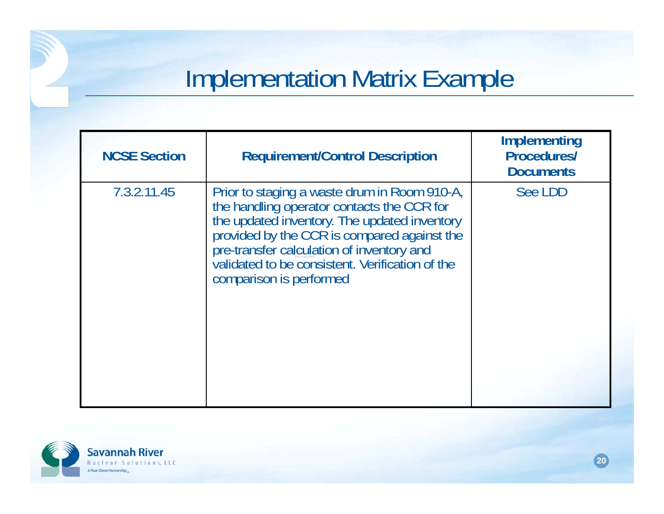#### Implementation Matrix Example

| <b>NCSE Section</b> | <b>Requirement/Control Description</b>                                                                                                                                                                                                                                                                               | Implementing<br><b>Procedures/</b><br><b>Documents</b> |  |
|---------------------|----------------------------------------------------------------------------------------------------------------------------------------------------------------------------------------------------------------------------------------------------------------------------------------------------------------------|--------------------------------------------------------|--|
| 7.3.2.11.45         | Prior to staging a waste drum in Room 910-A,<br>the handling operator contacts the CCR for<br>the updated inventory. The updated inventory<br>provided by the CCR is compared against the<br>pre-transfer calculation of inventory and<br>validated to be consistent. Verification of the<br>comparison is performed | See LDD                                                |  |

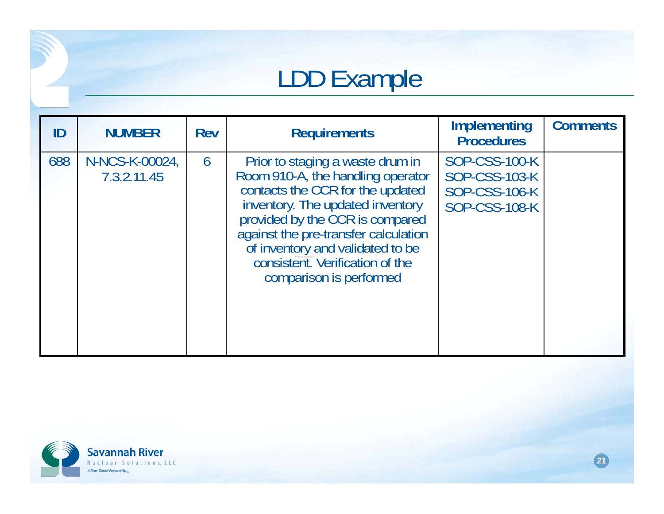#### LDD Example

| ID  | <b>NUMBER</b>                 | Rev | <b>Requirements</b>                                                                                                                                                                                                                                                                                                        | <b>Implementing</b><br><b>Procedures</b>                                                     | <b>Comments</b> |
|-----|-------------------------------|-----|----------------------------------------------------------------------------------------------------------------------------------------------------------------------------------------------------------------------------------------------------------------------------------------------------------------------------|----------------------------------------------------------------------------------------------|-----------------|
| 688 | N-NCS-K-00024,<br>7.3.2.11.45 | 6   | Prior to staging a waste drum in<br>Room 910-A, the handling operator<br>contacts the CCR for the updated<br>inventory. The updated inventory<br>provided by the CCR is compared<br>against the pre-transfer calculation<br>of inventory and validated to be<br>consistent. Verification of the<br>comparison is performed | <b>SOP-CSS-100-K</b><br><b>SOP-CSS-103-K</b><br><b>SOP-CSS-106-K</b><br><b>SOP-CSS-108-K</b> |                 |

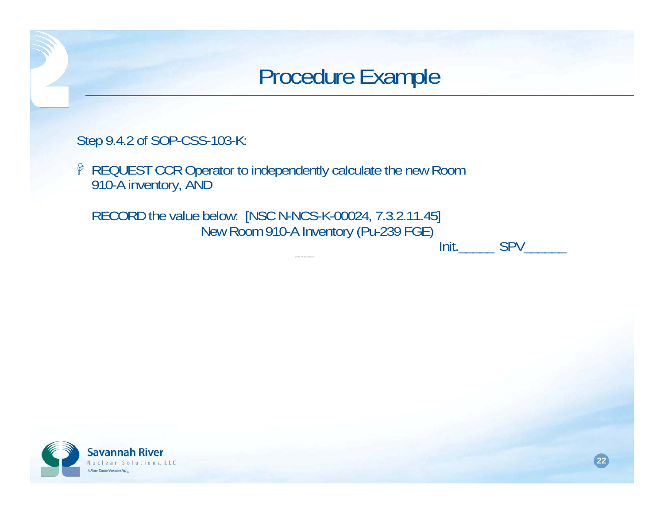#### Procedure Example

Step 9.4.2 of SOP-CSS-103-K:

**P** REQUEST CCR Operator to independently calculate the new Room 910-A inventory, AND

RECORD the value below: [NSC N-NCS-K-00024, 7.3.2.11.45] New Room 910-A Inventory (Pu-239 FGE) Init. SPV

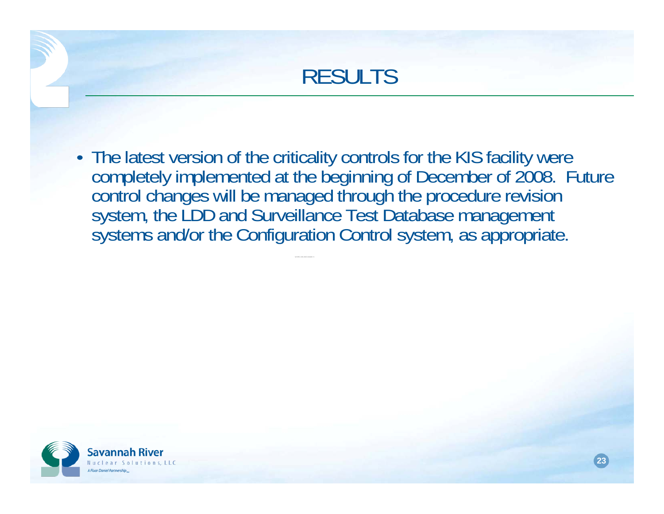

• The latest version of the criticality controls for the KIS facility were completely implemented at the beginning of December of 2008. Future control changes will be managed through the procedure revision system, the LDD and Surveillance Test Database management systems and/or the Configuration Control system, as appropriate.

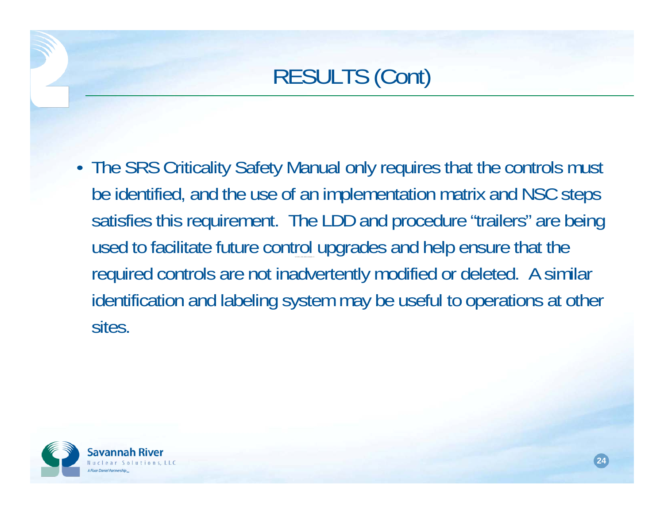#### RESULTS (Cont)

• The SRS Criticality Safety Manual only requires that the controls must be identified, and the use of an implementation matrix and NSC steps satisfies this requirement. The LDD and procedure "trailers" are being used to facilitate future control upgrades and help ensure that the required controls are not inadvertently modified or deleted. A similar identification and labeling system may be useful to operations at other sites.